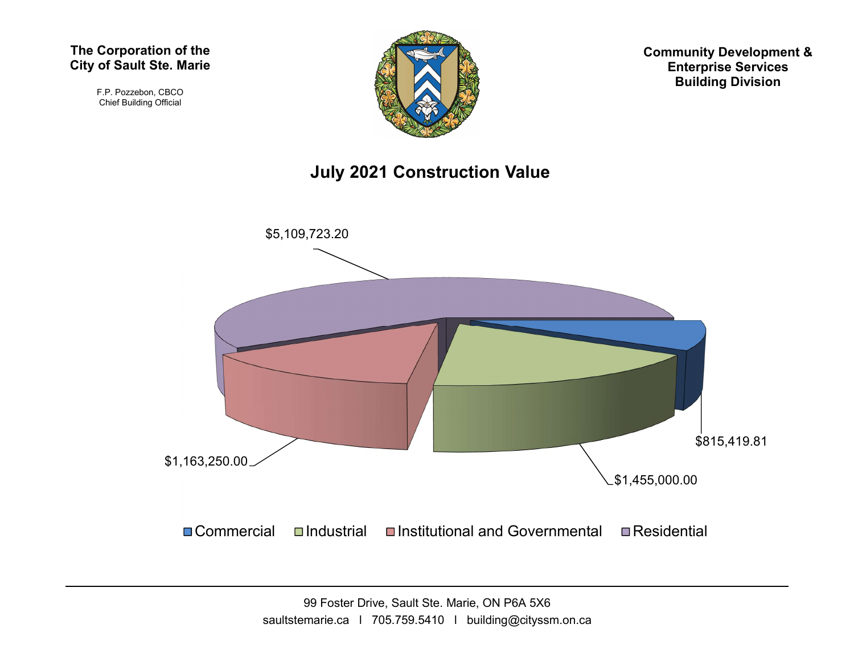F.P. Pozzebon, CBCO Chief Building Official



Community Development & Enterprise Services Building Division

### July 2021 Construction Value

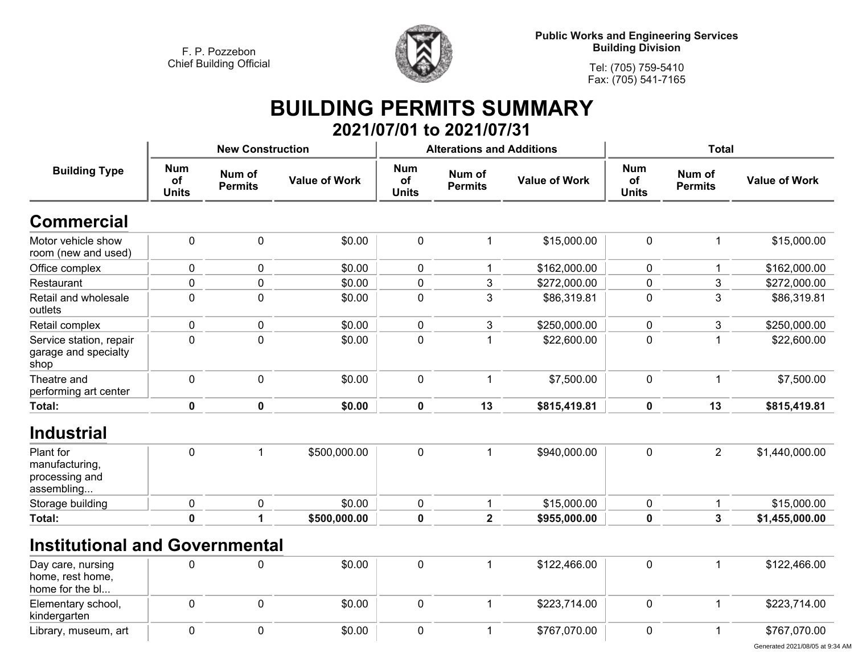**kindergarten**

**Library, museum, art 0**



**Tel: (705) 759-5410Fax: (705) 541-7165**

## **BUILDING PERMITS SUMMARY 2021/07/01 to 2021/07/31**

| <b>Building Type</b>                                        |                                  | <b>New Construction</b>  |                      |                                  | <b>Alterations and Additions</b> |                      | <b>Total</b>                     |                          |                      |  |
|-------------------------------------------------------------|----------------------------------|--------------------------|----------------------|----------------------------------|----------------------------------|----------------------|----------------------------------|--------------------------|----------------------|--|
|                                                             | <b>Num</b><br>of<br><b>Units</b> | Num of<br><b>Permits</b> | <b>Value of Work</b> | <b>Num</b><br>of<br><b>Units</b> | Num of<br><b>Permits</b>         | <b>Value of Work</b> | <b>Num</b><br>of<br><b>Units</b> | Num of<br><b>Permits</b> | <b>Value of Work</b> |  |
| <b>Commercial</b>                                           |                                  |                          |                      |                                  |                                  |                      |                                  |                          |                      |  |
| Motor vehicle show<br>room (new and used)                   | $\pmb{0}$                        | $\pmb{0}$                | \$0.00               | $\pmb{0}$                        | 1                                | \$15,000.00          | $\mathbf 0$                      | 1                        | \$15,000.00          |  |
| Office complex                                              | 0                                | 0                        | \$0.00               | $\pmb{0}$                        |                                  | \$162,000.00         | 0                                | 1                        | \$162,000.00         |  |
| Restaurant                                                  | 0                                | 0                        | \$0.00               | $\pmb{0}$                        | 3                                | \$272,000.00         | 0                                | 3                        | \$272,000.00         |  |
| Retail and wholesale<br>outlets                             | 0                                | $\mathbf 0$              | \$0.00               | 0                                | 3                                | \$86,319.81          | $\mathbf{0}$                     | 3                        | \$86,319.81          |  |
| Retail complex                                              | 0                                | $\pmb{0}$                | \$0.00               | $\pmb{0}$                        | 3                                | \$250,000.00         | $\mathbf 0$                      | 3                        | \$250,000.00         |  |
| Service station, repair<br>garage and specialty<br>shop     | 0                                | $\mathbf 0$              | \$0.00               | $\mathbf 0$                      |                                  | \$22,600.00          | 0                                | 1                        | \$22,600.00          |  |
| Theatre and<br>performing art center                        | $\pmb{0}$                        | $\pmb{0}$                | \$0.00               | $\pmb{0}$                        |                                  | \$7,500.00           | $\pmb{0}$                        | $\mathbf{1}$             | \$7,500.00           |  |
| Total:                                                      | 0                                | 0                        | \$0.00               | $\mathbf 0$                      | 13                               | \$815,419.81         | $\mathbf 0$                      | 13                       | \$815,419.81         |  |
| <b>Industrial</b>                                           |                                  |                          |                      |                                  |                                  |                      |                                  |                          |                      |  |
| Plant for<br>manufacturing,<br>processing and<br>assembling | $\mathbf 0$                      | $\mathbf 1$              | \$500,000.00         | $\mathbf 0$                      | 1                                | \$940,000.00         | $\mathbf 0$                      | $\overline{2}$           | \$1,440,000.00       |  |
| Storage building                                            | 0                                | 0                        | \$0.00               | $\mathbf 0$                      |                                  | \$15,000.00          | $\mathbf{0}$                     | 1                        | \$15,000.00          |  |
| Total:                                                      | $\mathbf 0$                      | 1                        | \$500,000.00         | $\mathbf 0$                      | $\overline{2}$                   | \$955,000.00         | $\mathbf 0$                      | $\mathbf{3}$             | \$1,455,000.00       |  |
| <b>Institutional and Governmental</b>                       |                                  |                          |                      |                                  |                                  |                      |                                  |                          |                      |  |
| Day care, nursing<br>home, rest home,<br>home for the bl    | $\Omega$                         | 0                        | \$0.00               | $\pmb{0}$                        |                                  | \$122,466.00         | $\mathbf 0$                      | 1                        | \$122,466.00         |  |
| Elementary school,                                          | 0                                | 0                        | \$0.00               | $\pmb{0}$                        |                                  | \$223,714.00         | 0                                | 1                        | \$223,714.00         |  |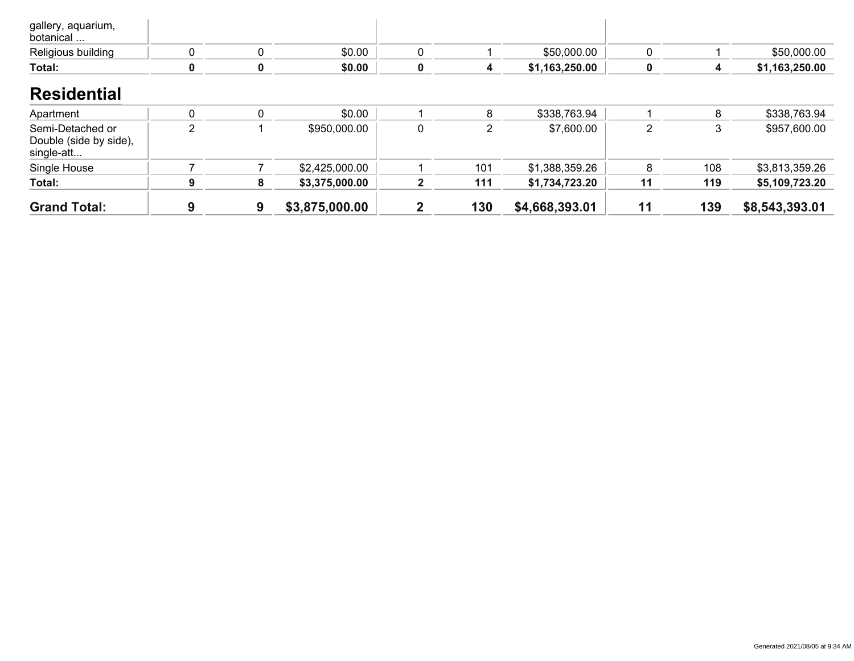| <b>Total:</b>                   |  | \$0.00 |  | \$1,163,250.00 |  | \$1,163,250.00 |
|---------------------------------|--|--------|--|----------------|--|----------------|
| Religious building              |  | \$0.00 |  | \$50,000.00    |  | \$50,000.00    |
| gallery, aquarium,<br>botanical |  |        |  |                |  |                |

#### **Residential**

| <b>Grand Total:</b>                                      |  | \$3,875,000.00 | 2            | 130 | \$4,668,393.01 | 11 | 139 | \$8,543,393.01 |
|----------------------------------------------------------|--|----------------|--------------|-----|----------------|----|-----|----------------|
| Total:                                                   |  | \$3,375,000.00 | $\mathbf{2}$ | 111 | \$1,734,723.20 | 11 | 119 | \$5,109,723.20 |
| Single House                                             |  | \$2,425,000.00 |              | 101 | \$1,388,359.26 |    | 108 | \$3,813,359.26 |
| Semi-Detached or<br>Double (side by side),<br>single-att |  | \$950,000.00   |              |     | \$7,600.00     |    | 3   | \$957,600.00   |
| Apartment                                                |  | \$0.00         |              |     | \$338,763.94   |    |     | \$338,763.94   |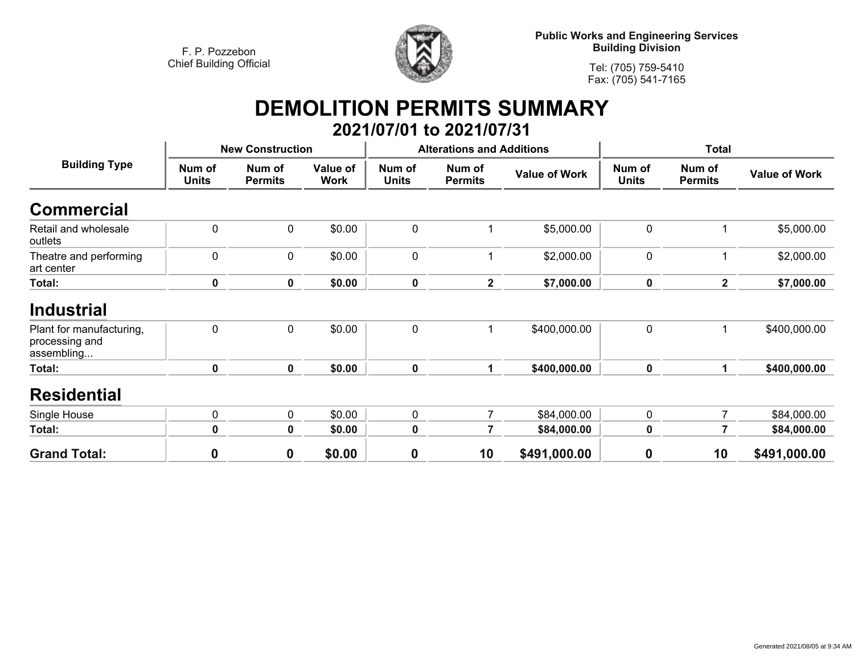

**Public Works and Engineering Services Building Division**

**Tel: (705) 759-5410Fax: (705) 541-7165**

## **DEMOLITION PERMITS SUMMARY 2021/07/01 to 2021/07/31**

|                                                          |                        | <b>New Construction</b>  |                         |                        | <b>Alterations and Additions</b> |                      |                        | <b>Total</b>             |                      |
|----------------------------------------------------------|------------------------|--------------------------|-------------------------|------------------------|----------------------------------|----------------------|------------------------|--------------------------|----------------------|
| <b>Building Type</b>                                     | Num of<br><b>Units</b> | Num of<br><b>Permits</b> | Value of<br><b>Work</b> | Num of<br><b>Units</b> | Num of<br><b>Permits</b>         | <b>Value of Work</b> | Num of<br><b>Units</b> | Num of<br><b>Permits</b> | <b>Value of Work</b> |
| <b>Commercial</b>                                        |                        |                          |                         |                        |                                  |                      |                        |                          |                      |
| Retail and wholesale<br>outlets                          | $\mathbf 0$            | 0                        | \$0.00                  | $\pmb{0}$              |                                  | \$5,000.00           | $\mathbf 0$            |                          | \$5,000.00           |
| Theatre and performing<br>art center                     | $\mathbf 0$            | $\mathbf 0$              | \$0.00                  | 0                      |                                  | \$2,000.00           | $\mathbf 0$            |                          | \$2,000.00           |
| Total:                                                   | 0                      | $\mathbf 0$              | \$0.00                  | $\mathbf 0$            | $\overline{2}$                   | \$7,000.00           | 0                      | $\overline{2}$           | \$7,000.00           |
| <b>Industrial</b>                                        |                        |                          |                         |                        |                                  |                      |                        |                          |                      |
| Plant for manufacturing,<br>processing and<br>assembling | $\mathbf 0$            | $\mathbf 0$              | \$0.00                  | $\pmb{0}$              |                                  | \$400,000.00         | $\mathbf 0$            |                          | \$400,000.00         |
| Total:                                                   | $\mathbf 0$            | $\mathbf 0$              | \$0.00                  | $\mathbf 0$            | 1                                | \$400,000.00         | $\mathbf 0$            | 1.                       | \$400,000.00         |
| <b>Residential</b>                                       |                        |                          |                         |                        |                                  |                      |                        |                          |                      |
| Single House                                             | $\mathbf 0$            | $\mathbf 0$              | \$0.00                  | 0                      | $\overline{7}$                   | \$84,000.00          | $\mathbf 0$            | $\overline{7}$           | \$84,000.00          |
| Total:                                                   | $\bf{0}$               | $\mathbf 0$              | \$0.00                  | $\mathbf 0$            | 7                                | \$84,000.00          | $\mathbf 0$            | 7                        | \$84,000.00          |
| <b>Grand Total:</b>                                      | $\mathbf 0$            | $\mathbf 0$              | \$0.00                  | 0                      | 10                               | \$491,000.00         | $\boldsymbol{0}$       | 10                       | \$491,000.00         |